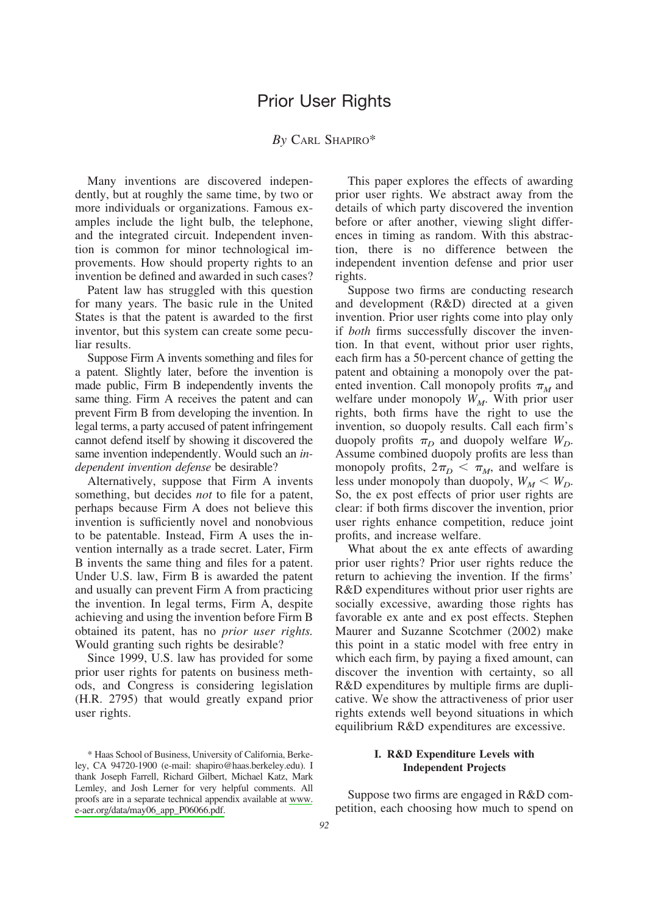## By CARL SHAPIRO\*

Many inventions are discovered independently, but at roughly the same time, by two or more individuals or organizations. Famous examples include the light bulb, the telephone, and the integrated circuit. Independent invention is common for minor technological improvements. How should property rights to an invention be defined and awarded in such cases?

Patent law has struggled with this question for many years. The basic rule in the United States is that the patent is awarded to the first inventor, but this system can create some peculiar results.

Suppose Firm A invents something and files for a patent. Slightly later, before the invention is made public, Firm B independently invents the same thing. Firm A receives the patent and can prevent Firm B from developing the invention. In legal terms, a party accused of patent infringement cannot defend itself by showing it discovered the same invention independently. Would such an *in*dependent invention defense be desirable?

Alternatively, suppose that Firm A invents something, but decides *not* to file for a patent, perhaps because Firm A does not believe this invention is sufficiently novel and nonobvious to be patentable. Instead, Firm A uses the invention internally as a trade secret. Later, Firm B invents the same thing and files for a patent. Under U.S. law, Firm B is awarded the patent and usually can prevent Firm A from practicing the invention. In legal terms, Firm A, despite achieving and using the invention before Firm B obtained its patent, has no *prior* user rights. Would granting such rights be desirable?

Since 1999, U.S. law has provided for some prior user rights for patents on business methods, and Congress is considering legislation (H.R. 2795) that would greatly expand prior user rights.

This paper explores the effects of awarding prior user rights. We abstract away from the details of which party discovered the invention before or after another, viewing slight differences in timing as random. With this abstraction, there is no difference between the independent invention defense and prior user rights.

Suppose two firms are conducting research and development (R&D) directed at a given invention. Prior user rights come into play only if both firms successfully discover the invention. In that event, without prior user rights, each firm has a 50-percent chance of getting the patent and obtaining a monopoly over the patented invention. Call monopoly profits  $\pi_M$  and welfare under monopoly  $W_M$ . With prior user rights, both firms have the right to use the invention, so duopoly results. Call each firm's duopoly profits  $\pi_D$  and duopoly welfare  $W_D$ . Assume combined duopoly profits are less than monopoly profits,  $2\pi_D < \pi_M$ , and welfare is less under monopoly than duopoly,  $W_M < W_D$ . So, the ex post effects of prior user rights are clear: if both firms discover the invention, prior user rights enhance competition, reduce joint profits, and increase welfare.

What about the ex ante effects of awarding prior user rights? Prior user rights reduce the return to achieving the invention. If the firms' R&D expenditures without prior user rights are socially excessive, awarding those rights has favorable ex ante and ex post effects. Stephen Maurer and Suzanne Scotchmer (2002) make this point in a static model with free entry in which each firm, by paying a fixed amount, can discover the invention with certainty, so all R&D expenditures by multiple firms are duplicative. We show the attractiveness of prior user rights extends well beyond situations in which equilibrium R&D expenditures are excessive.

### I. R&D Expenditure Levels with **Independent Projects**

Suppose two firms are engaged in R&D competition, each choosing how much to spend on

<sup>\*</sup> Haas School of Business, University of California, Berkeley, CA 94720-1900 (e-mail: shapiro@haas.berkeley.edu). I thank Joseph Farrell, Richard Gilbert, Michael Katz, Mark Lemley, and Josh Lerner for very helpful comments. All proofs are in a separate technical appendix available at www. e-aer.org/data/may06\_app\_P06066.pdf.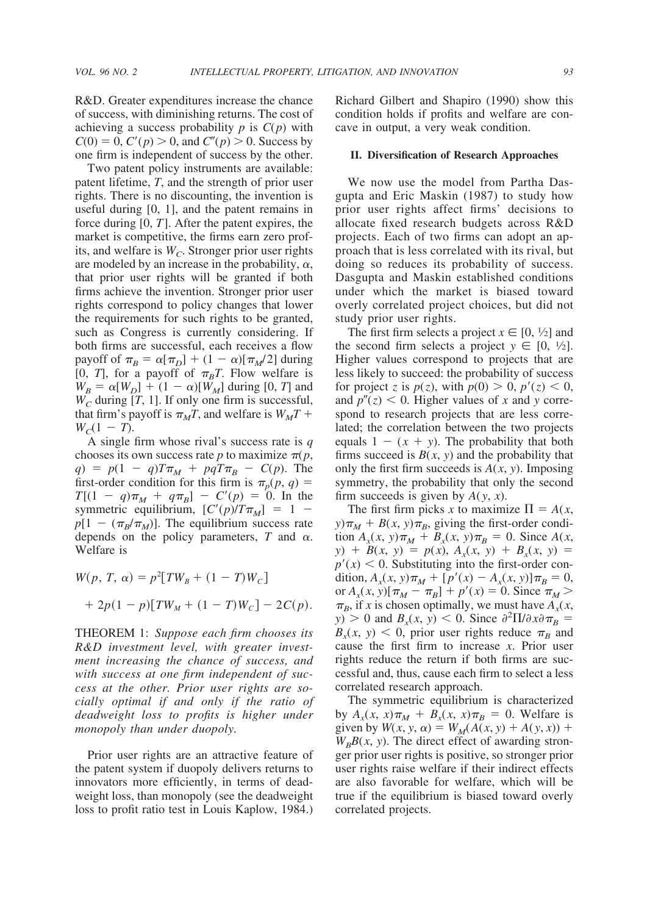R&D. Greater expenditures increase the chance of success, with diminishing returns. The cost of achieving a success probability p is  $C(p)$  with  $C(0) = 0, C'(p) > 0$ , and  $C''(p) > 0$ . Success by one firm is independent of success by the other.

Two patent policy instruments are available: patent lifetime,  $T$ , and the strength of prior user rights. There is no discounting, the invention is useful during  $[0, 1]$ , and the patent remains in force during  $[0, T]$ . After the patent expires, the market is competitive, the firms earn zero profits, and welfare is  $W_c$ . Stronger prior user rights are modeled by an increase in the probability,  $\alpha$ , that prior user rights will be granted if both firms achieve the invention. Stronger prior user rights correspond to policy changes that lower the requirements for such rights to be granted, such as Congress is currently considering. If both firms are successful, each receives a flow payoff of  $\pi_B = \alpha[\pi_D] + (1 - \alpha)[\pi_M/2]$  during [0, T], for a payoff of  $\pi_B T$ . Flow welfare is  $W_B = \alpha[W_D] + (1 - \alpha)[W_M]$  during [0, T] and  $W_C$  during [T, 1]. If only one firm is successful, that firm's payoff is  $\pi_M T$ , and welfare is  $W_M T$  +  $W_{C}(1 - T)$ .

A single firm whose rival's success rate is  $q$ chooses its own success rate p to maximize  $\pi(p,$  $q) = p(1 - q)T\pi_M + pqT\pi_B - C(p)$ . The first-order condition for this firm is  $\pi_p(p, q)$  =  $T[(1 - q)\pi_M + q\pi_R] - C'(p) = 0$ . In the symmetric equilibrium,  $[C'(p)/T\pi_M] = 1$  –  $p[1 - (\pi_R/\pi_M)]$ . The equilibrium success rate depends on the policy parameters,  $T$  and  $\alpha$ . Welfare is

$$
W(p, T, \alpha) = p^{2}[TW_{B} + (1 - T)W_{C}]
$$
  
+ 2p(1 - p)[TW\_{M} + (1 - T)W\_{C}] - 2C(p)

THEOREM 1: Suppose each firm chooses its R&D investment level, with greater investment increasing the chance of success, and with success at one firm independent of success at the other. Prior user rights are socially optimal if and only if the ratio of deadweight loss to profits is higher under monopoly than under duopoly.

Prior user rights are an attractive feature of the patent system if duopoly delivers returns to innovators more efficiently, in terms of deadweight loss, than monopoly (see the deadweight loss to profit ratio test in Louis Kaplow, 1984.)

Richard Gilbert and Shapiro (1990) show this condition holds if profits and welfare are concave in output, a very weak condition.

#### II. Diversification of Research Approaches

We now use the model from Partha Dasgupta and Eric Maskin (1987) to study how prior user rights affect firms' decisions to allocate fixed research budgets across R&D projects. Each of two firms can adopt an approach that is less correlated with its rival, but doing so reduces its probability of success. Dasgupta and Maskin established conditions under which the market is biased toward overly correlated project choices, but did not study prior user rights.

The first firm selects a project  $x \in [0, \frac{1}{2}]$  and the second firm selects a project  $y \in [0, \frac{1}{2}]$ . Higher values correspond to projects that are less likely to succeed: the probability of success for project z is  $p(z)$ , with  $p(0) > 0$ ,  $p'(z) < 0$ , and  $p''(z) < 0$ . Higher values of x and y correspond to research projects that are less correlated; the correlation between the two projects equals  $1 - (x + y)$ . The probability that both firms succeed is  $B(x, y)$  and the probability that only the first firm succeeds is  $A(x, y)$ . Imposing symmetry, the probability that only the second firm succeeds is given by  $A(y, x)$ .

The first firm picks x to maximize  $\Pi = A(x,$  $y)\pi_M + B(x, y)\pi_B$ , giving the first-order condition  $A_x(x, y)\pi_M + B_x(x, y)\pi_B = 0$ . Since  $A(x, y)$ y) +  $B(x, y) = p(x), A_x(x, y) + B_x(x, y) =$  $p'(x) < 0$ . Substituting into the first-order condition,  $A_r(x, y)\pi_M + [p'(x) - A_r(x, y)]\pi_B = 0$ , or  $A_x(x, y)[\pi_M - \pi_B] + p'(x) = 0$ . Since  $\pi_M >$  $\pi_B$ , if x is chosen optimally, we must have  $A_x(x)$ ,  $y$  > 0 and  $B_x(x, y)$  < 0. Since  $\partial^2 \Pi / \partial x \partial \pi_B$  =  $B_x(x, y)$  < 0, prior user rights reduce  $\pi_B$  and cause the first firm to increase  $x$ . Prior user rights reduce the return if both firms are successful and, thus, cause each firm to select a less correlated research approach.

The symmetric equilibrium is characterized by  $A_x(x, x)\pi_M + B_x(x, x)\pi_B = 0$ . Welfare is given by  $W(x, y, \alpha) = W_M(A(x, y) + A(y, x))$  +  $W_B B(x, y)$ . The direct effect of awarding stronger prior user rights is positive, so stronger prior user rights raise welfare if their indirect effects are also favorable for welfare, which will be true if the equilibrium is biased toward overly correlated projects.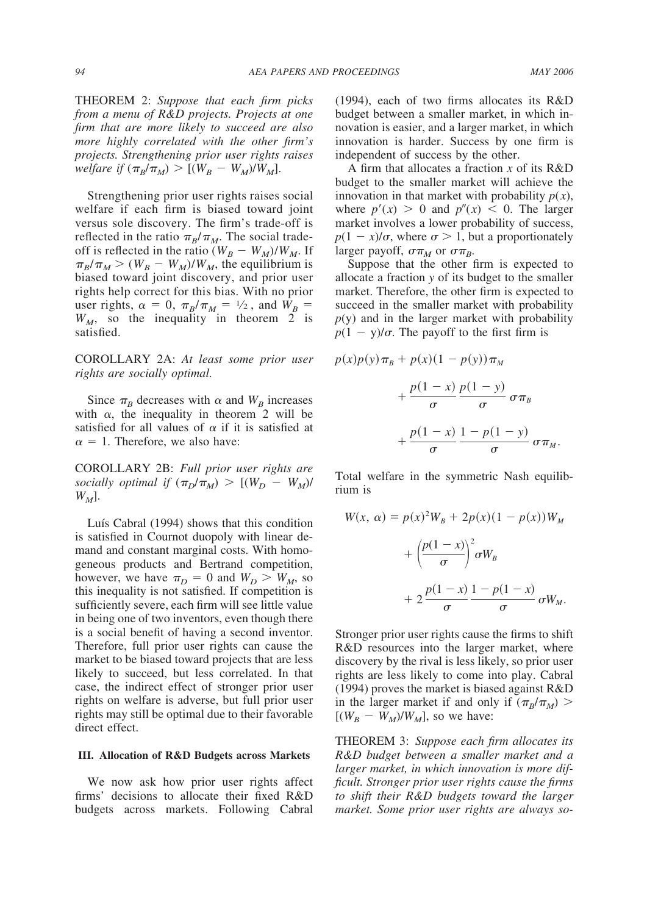THEOREM 2: Suppose that each firm picks from a menu of R&D projects. Projects at one firm that are more likely to succeed are also more highly correlated with the other firm's projects. Strengthening prior user rights raises welfare if  $(\pi_R/\pi_M) > [(W_R - W_M)/W_M]$ .

Strengthening prior user rights raises social welfare if each firm is biased toward joint versus sole discovery. The firm's trade-off is reflected in the ratio  $\pi_B/\pi_M$ . The social tradeoff is reflected in the ratio  $(W_B - W_M)/W_M$ . If  $\pi_B/\pi_M$  >  $(W_B - W_M)/W_M$ , the equilibrium is biased toward joint discovery, and prior user rights help correct for this bias. With no prior user rights,  $\alpha = 0$ ,  $\pi_B / \pi_M = \frac{1}{2}$ , and  $W_B =$  $W_M$ , so the inequality in theorem 2 is satisfied.

COROLLARY 2A: At least some prior user rights are socially optimal.

Since  $\pi_B$  decreases with  $\alpha$  and  $W_B$  increases with  $\alpha$ , the inequality in theorem 2 will be satisfied for all values of  $\alpha$  if it is satisfied at  $\alpha = 1$ . Therefore, we also have:

COROLLARY 2B: Full prior user rights are socially optimal if  $(\pi_D/\pi_M) > [(W_D - W_M)$  $W_{\lambda\lambda}$ ].

Luís Cabral (1994) shows that this condition is satisfied in Cournot duopoly with linear demand and constant marginal costs. With homogeneous products and Bertrand competition, however, we have  $\pi_D = 0$  and  $W_D > W_M$ , so this inequality is not satisfied. If competition is sufficiently severe, each firm will see little value in being one of two inventors, even though there is a social benefit of having a second inventor. Therefore, full prior user rights can cause the market to be biased toward projects that are less likely to succeed, but less correlated. In that case, the indirect effect of stronger prior user rights on welfare is adverse, but full prior user rights may still be optimal due to their favorable direct effect.

#### III. Allocation of R&D Budgets across Markets

We now ask how prior user rights affect firms' decisions to allocate their fixed R&D budgets across markets. Following Cabral  $(1994)$ , each of two firms allocates its R&D budget between a smaller market, in which innovation is easier, and a larger market, in which innovation is harder. Success by one firm is independent of success by the other.

A firm that allocates a fraction  $x$  of its R&D budget to the smaller market will achieve the innovation in that market with probability  $p(x)$ , where  $p'(x) > 0$  and  $p''(x) < 0$ . The larger market involves a lower probability of success,  $p(1 - x)/\sigma$ , where  $\sigma > 1$ , but a proportionately larger payoff,  $\sigma \pi_M$  or  $\sigma \pi_R$ .

Suppose that the other firm is expected to allocate a fraction y of its budget to the smaller market. Therefore, the other firm is expected to succeed in the smaller market with probability  $p(y)$  and in the larger market with probability  $p(1 - y)/\sigma$ . The payoff to the first firm is

$$
p(x)p(y)\pi_B + p(x)(1 - p(y))\pi_M
$$
  
+ 
$$
\frac{p(1-x)}{\sigma} \frac{p(1-y)}{\sigma} \sigma \pi_B
$$
  
+ 
$$
\frac{p(1-x)}{\sigma} \frac{1 - p(1-y)}{\sigma} \sigma \pi_M.
$$

Total welfare in the symmetric Nash equilibrium is

$$
W(x, \alpha) = p(x)^2 W_B + 2p(x)(1 - p(x))W_M
$$

$$
+ \left(\frac{p(1-x)}{\sigma}\right)^2 \sigma W_B
$$

$$
+ 2\frac{p(1-x)}{\sigma} \frac{1 - p(1-x)}{\sigma} \sigma W_M.
$$

Stronger prior user rights cause the firms to shift R&D resources into the larger market, where discovery by the rival is less likely, so prior user rights are less likely to come into play. Cabral (1994) proves the market is biased against  $R&D$ in the larger market if and only if  $(\pi_B/\pi_M)$  $[(W_B - W_M)/W_M]$ , so we have:

THEOREM 3: Suppose each firm allocates its R&D budget between a smaller market and a larger market, in which innovation is more difficult. Stronger prior user rights cause the firms to shift their R&D budgets toward the larger market. Some prior user rights are always so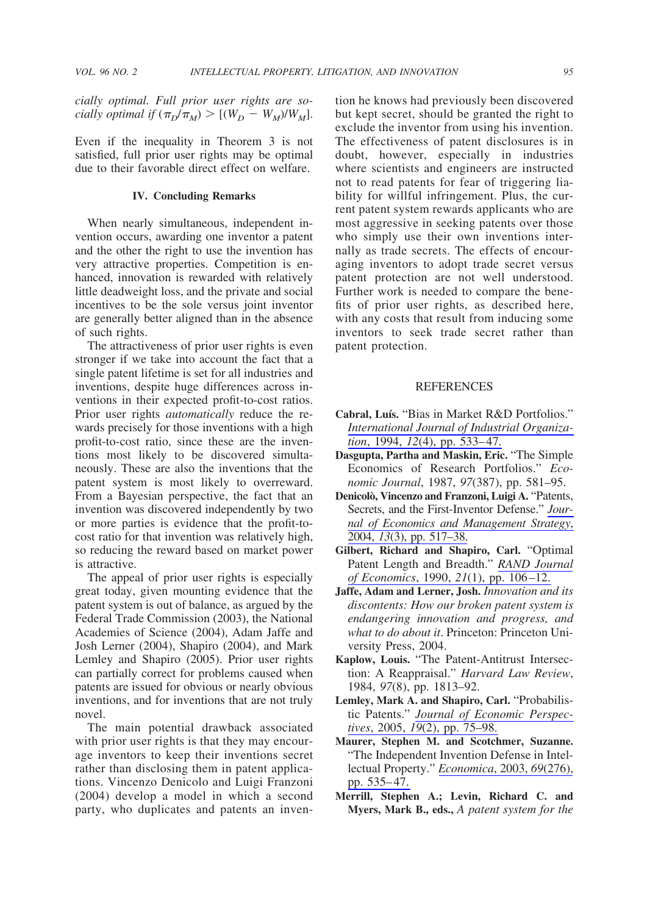cially optimal. Full prior user rights are socially optimal if  $(\pi_D/\pi_M) > [(W_D - W_M)/W_M]$ .

Even if the inequality in Theorem 3 is not satisfied, full prior user rights may be optimal due to their favorable direct effect on welfare.

#### **IV. Concluding Remarks**

When nearly simultaneous, independent invention occurs, awarding one inventor a patent and the other the right to use the invention has very attractive properties. Competition is enhanced, innovation is rewarded with relatively little deadweight loss, and the private and social incentives to be the sole versus joint inventor are generally better aligned than in the absence of such rights.

The attractiveness of prior user rights is even stronger if we take into account the fact that a single patent lifetime is set for all industries and inventions, despite huge differences across inventions in their expected profit-to-cost ratios. Prior user rights *automatically* reduce the rewards precisely for those inventions with a high profit-to-cost ratio, since these are the inventions most likely to be discovered simultaneously. These are also the inventions that the patent system is most likely to overreward. From a Bayesian perspective, the fact that an invention was discovered independently by two or more parties is evidence that the profit-tocost ratio for that invention was relatively high, so reducing the reward based on market power is attractive.

The appeal of prior user rights is especially great today, given mounting evidence that the patent system is out of balance, as argued by the Federal Trade Commission (2003), the National Academies of Science (2004), Adam Jaffe and Josh Lerner (2004), Shapiro (2004), and Mark Lemley and Shapiro (2005). Prior user rights can partially correct for problems caused when patents are issued for obvious or nearly obvious inventions, and for inventions that are not truly novel.

The main potential drawback associated with prior user rights is that they may encourage inventors to keep their inventions secret rather than disclosing them in patent applications. Vincenzo Denicolo and Luigi Franzoni (2004) develop a model in which a second party, who duplicates and patents an invention he knows had previously been discovered but kept secret, should be granted the right to exclude the inventor from using his invention. The effectiveness of patent disclosures is in doubt, however, especially in industries where scientists and engineers are instructed not to read patents for fear of triggering liability for willful infringement. Plus, the current patent system rewards applicants who are most aggressive in seeking patents over those who simply use their own inventions internally as trade secrets. The effects of encouraging inventors to adopt trade secret versus patent protection are not well understood. Further work is needed to compare the benefits of prior user rights, as described here, with any costs that result from inducing some inventors to seek trade secret rather than patent protection.

#### **REFERENCES**

- Cabral, Luís. "Bias in Market R&D Portfolios." International Journal of Industrial Organiza- $\frac{1}{100n}$ , 1994, 12(4), pp. 533–47.
- Dasgupta, Partha and Maskin, Eric. "The Simple Economics of Research Portfolios." Economic Journal, 1987, 97(387), pp. 581-95.
- Denicolò, Vincenzo and Franzoni, Luigi A. "Patents, Secrets, and the First-Inventor Defense." Journal of Economics and Management Strategy,  $2004, 13(3)$ , pp. 517-38.
- Gilbert, Richard and Shapiro, Carl. "Optimal Patent Length and Breadth." RAND Journal of Economics, 1990, 21(1), pp. 106–12.
- Jaffe, Adam and Lerner, Josh. Innovation and its discontents: How our broken patent system is endangering innovation and progress, and what to do about it. Princeton: Princeton University Press, 2004.
- Kaplow, Louis. "The Patent-Antitrust Intersection: A Reappraisal." Harvard Law Review, 1984, 97(8), pp. 1813-92.
- Lemley, Mark A. and Shapiro, Carl. "Probabilistic Patents." Journal of Economic Perspectives, 2005, 19(2), pp. 75-98.
- Maurer, Stephen M. and Scotchmer, Suzanne. "The Independent Invention Defense in Intellectual Property." Economica, 2003, 69(276), pp. 535-47.
- Merrill, Stephen A.; Levin, Richard C. and Myers, Mark B., eds., A patent system for the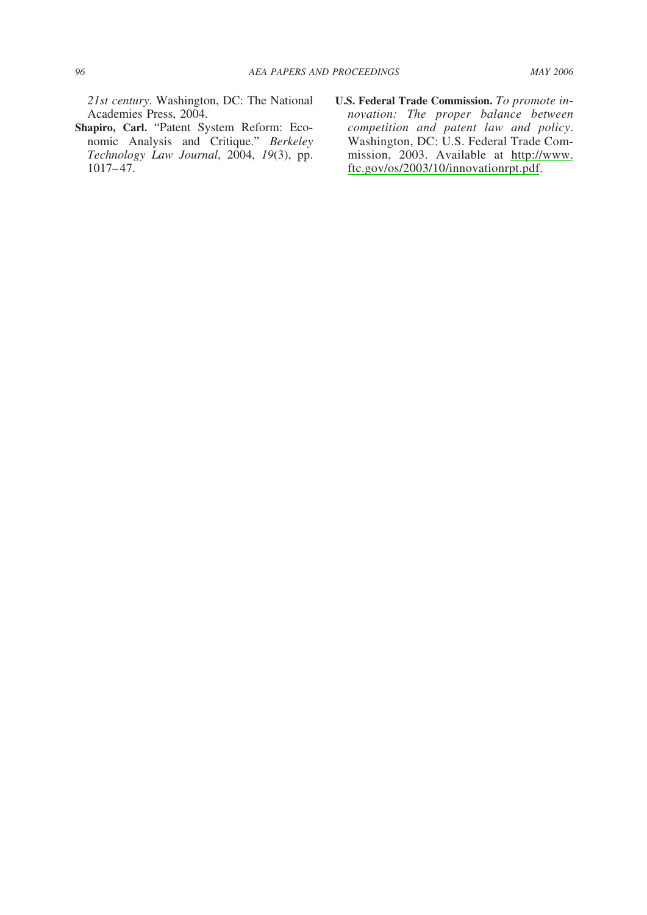21st century. Washington, DC: The National Academies Press, 2004.

- Shapiro, Carl. "Patent System Reform: Economic Analysis and Critique." *Berkeley Technology Law Journal*, 2004, 19(3), pp.  $1017 - 47.$
- U.S. Federal Trade Commission. To promote innovation: The proper balance between competition and patent law and policy.<br>Washington, DC: U.S. Federal Trade Commission, 2003. Available at http://www. ftc.gov/os/2003/10/innovationrpt.pdf.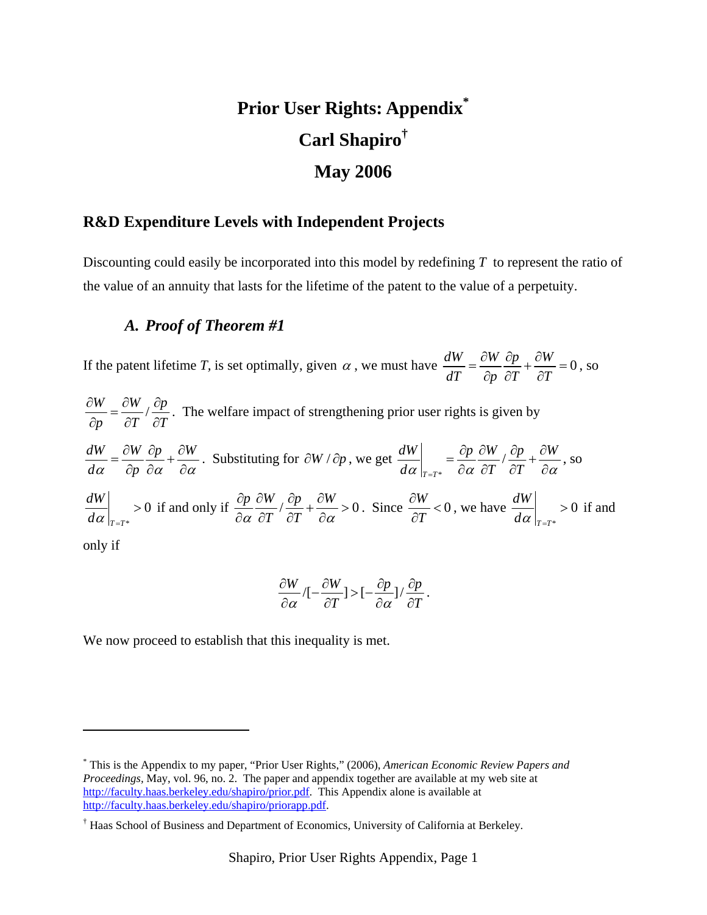# **Prior User Rights: Appendix\* Carl Shapiro† May 2006**

## **R&D Expenditure Levels with Independent Projects**

Discounting could easily be incorporated into this model by redefining *T* to represent the ratio of the value of an annuity that lasts for the lifetime of the patent to the value of a perpetuity.

# *A. Proof of Theorem #1*

If the patent lifetime *T*, is set optimally, given  $\alpha$ , we must have  $\frac{dW}{dr} = \frac{\partial W}{\partial x} \frac{\partial p}{\partial y} + \frac{\partial W}{\partial x} = 0$ *dT*  $\partial p$   $\partial T$   $\partial T$  $=\frac{\partial W}{\partial p} \frac{\partial p}{\partial T} + \frac{\partial W}{\partial T} = 0$ , so

 $\frac{W}{\gamma} = \frac{\partial W}{\partial y} / \frac{\partial p}{\partial z}$  $\frac{\partial W}{\partial p} = \frac{\partial W}{\partial T}$  *o*  $\frac{\partial p}{\partial T}$ . The welfare impact of strengthening prior user rights is given by  $dW = \partial W \partial p + \partial W$ *dα δp δα δα*  $=\frac{\partial W}{\partial p}\frac{\partial p}{\partial \alpha} + \frac{\partial W}{\partial \alpha}$ . Substituting for  $\partial W / \partial p$ , we get  $\frac{dW}{d\alpha}\Big|_{r=r^*}$ /  $T = T$  $dW$  *dW*  $\rho$  $\partial W$  $\rho$  $\partial W$  $d\alpha\left.\right|_{T=T^*}\quad \partial\alpha\,\left.\partial T\right|\,\left.\partial T\right|\,\left.\partial\alpha\right.$  $=\frac{\partial p}{\partial \alpha} \frac{\partial W}{\partial T} / \frac{\partial p}{\partial T} + \frac{\partial W}{\partial \alpha}$ , so \* 0  $T = T$ *dW*  $d\alpha\big|_{T=}$  $> 0$  if and only if  $\frac{\partial p}{\partial p} \frac{\partial W}{\partial p} / \frac{\partial p}{\partial p} + \frac{\partial W}{\partial p} > 0$  $\alpha$   $\partial T$   $\partial T$   $\partial \alpha$  $\frac{\partial p}{\partial \theta} \frac{\partial W}{\partial \theta}$  /  $\frac{\partial p}{\partial \theta}$  +  $\frac{\partial W}{\partial \theta}$  >  $\partial \alpha$  ∂ $T$  ∂ $T$  ∂ . Since  $\frac{\partial W}{\partial x} < 0$ *T*  $\left. \frac{\partial W}{\partial T} \right| < 0$ , we have  $\left. \frac{dW}{d\alpha} \right|_{T = T^*}$ 0  $T = T$ *dW*  $d\alpha\big|_{T=}$  $> 0$  if and only if

$$
\frac{\partial W}{\partial \alpha}/[-\frac{\partial W}{\partial T}]\!>\![-\frac{\partial p}{\partial \alpha}]/\frac{\partial p}{\partial T}.
$$

We now proceed to establish that this inequality is met.

 $\overline{a}$ 

<sup>\*</sup> This is the Appendix to my paper, "Prior User Rights," (2006), *American Economic Review Papers and Proceedings,* May, vol. 96, no. 2. The paper and appendix together are available at my web site at http://faculty.haas.berkeley.edu/shapiro/prior.pdf. This Appendix alone is available at http://faculty.haas.berkeley.edu/shapiro/priorapp.pdf.

<sup>†</sup> Haas School of Business and Department of Economics, University of California at Berkeley.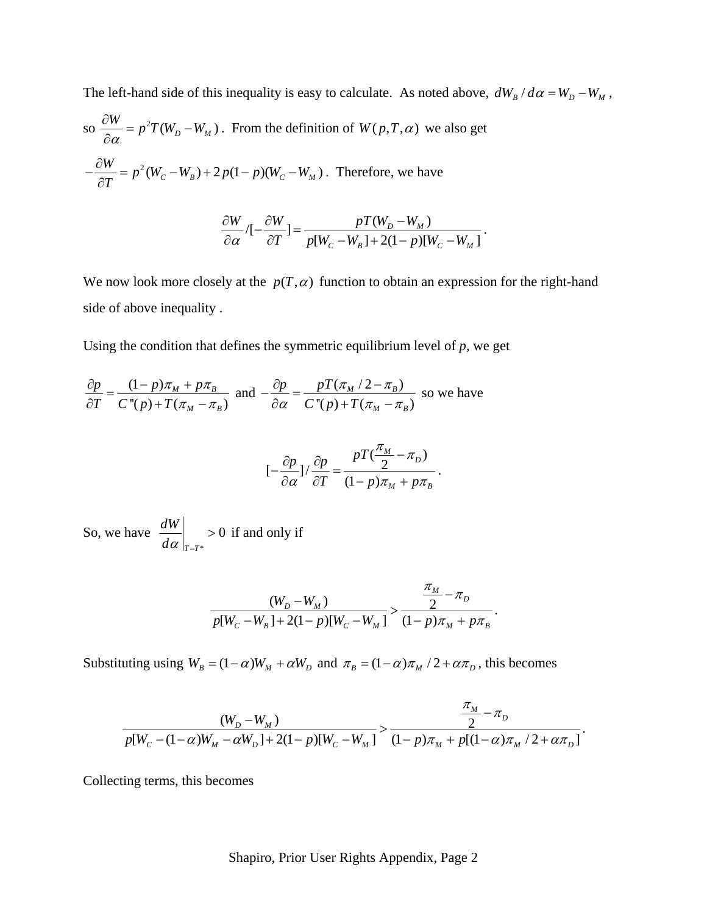The left-hand side of this inequality is easy to calculate. As noted above,  $dW_B/d\alpha = W_D - W_M$ , so  $\frac{\partial W}{\partial \alpha} = p^2 T(W_D - W_M)$ . From the definition of  $W(p, T, \alpha)$  we also get  $-\frac{\partial W}{\partial T} = p^2 (W_C - W_B) + 2p(1 - p)(W_C - W_M)$ . Therefore, we have

$$
\frac{\partial W}{\partial \alpha}/[-\frac{\partial W}{\partial T}]=\frac{pT(W_D-W_M)}{p[W_C-W_B]+2(1-p)[W_C-W_M]}.
$$

We now look more closely at the  $p(T, \alpha)$  function to obtain an expression for the right-hand side of above inequality .

Using the condition that defines the symmetric equilibrium level of *p,* we get

$$
\frac{\partial p}{\partial T} = \frac{(1-p)\pi_M + p\pi_B}{C''(p) + T(\pi_M - \pi_B)} \text{ and } -\frac{\partial p}{\partial \alpha} = \frac{pT(\pi_M / 2 - \pi_B)}{C''(p) + T(\pi_M - \pi_B)} \text{ so we have}
$$

$$
[-\frac{\partial p}{\partial \alpha}]/\frac{\partial p}{\partial T} = \frac{pT(\frac{\pi_M}{2} - \pi_D)}{(1 - p)\pi_M + p\pi_B}.
$$

So, we have \* 0  $T = T$ *dW*  $d\alpha\big|_{T=}$  $> 0$  if and only if

$$
\frac{(W_D - W_M)}{p[W_C - W_B] + 2(1-p)[W_C - W_M]} > \frac{\frac{\pi_M}{2} - \pi_D}{(1-p)\pi_M + p\pi_B}.
$$

Substituting using  $W_B = (1 - \alpha) W_M + \alpha W_D$  and  $\pi_B = (1 - \alpha) \pi_M / 2 + \alpha \pi_D$ , this becomes

$$
\frac{(W_D - W_M)}{p[W_C - (1 - \alpha)W_M - \alpha W_D] + 2(1 - p)[W_C - W_M]} > \frac{\frac{\pi_M}{2} - \pi_D}{(1 - p)\pi_M + p[(1 - \alpha)\pi_M / 2 + \alpha \pi_D]}.
$$

Collecting terms, this becomes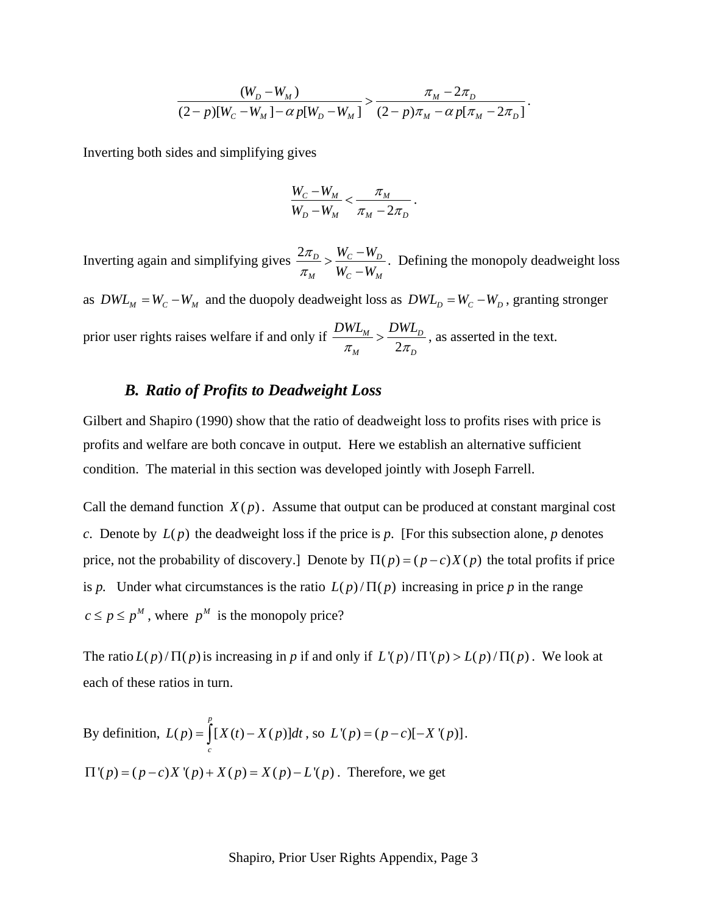$$
\frac{(W_{D} - W_{M})}{(2-p)[W_{C} - W_{M}] - \alpha p[W_{D} - W_{M}]} > \frac{\pi_{M} - 2\pi_{D}}{(2-p)\pi_{M} - \alpha p[\pi_{M} - 2\pi_{D}]}.
$$

Inverting both sides and simplifying gives

$$
\frac{W_C - W_M}{W_D - W_M} < \frac{\pi_M}{\pi_M - 2\pi_D}.
$$

Inverting again and simplifying gives  $\frac{2\pi D}{T} > \frac{W_C - W_D}{T}$ *M*  $V_C - VV_M$  $W_c - W$  $W_c - W$ π  $\frac{2\pi D}{\pi_M} > \frac{W_C - W_D}{W_C - W_M}$ . Defining the monopoly deadweight loss as  $DWL_M = W_C - W_M$  and the duopoly deadweight loss as  $DWL_D = W_C - W_D$ , granting stronger prior user rights raises welfare if and only if  $\frac{DWE_M}{\pi_M} > \frac{DWE_D}{2\pi_D}$ *M D*  $DW\!L_{_M}$   $_DW\!L$  $\frac{W E_M}{\pi_H} > \frac{W E_D}{2\pi R}$ , as asserted in the text.

## *B. Ratio of Profits to Deadweight Loss*

Gilbert and Shapiro (1990) show that the ratio of deadweight loss to profits rises with price is profits and welfare are both concave in output. Here we establish an alternative sufficient condition. The material in this section was developed jointly with Joseph Farrell.

Call the demand function  $X(p)$ . Assume that output can be produced at constant marginal cost *c*. Denote by  $L(p)$  the deadweight loss if the price is *p*. [For this subsection alone, *p* denotes price, not the probability of discovery.] Denote by  $\Pi(p) = (p - c)X(p)$  the total profits if price is *p*. Under what circumstances is the ratio  $L(p)/\Pi(p)$  increasing in price *p* in the range  $c \leq p \leq p^M$ , where  $p^M$  is the monopoly price?

The ratio  $L(p)/\Pi(p)$  is increasing in p if and only if  $L'(p)/\Pi'(p) > L(p)/\Pi(p)$ . We look at each of these ratios in turn.

By definition, 
$$
L(p) = \int_{c}^{p} [X(t) - X(p)]dt
$$
, so  $L'(p) = (p - c)[-X'(p)].$   
\n $\Pi'(p) = (p - c)X'(p) + X(p) = X(p) - L'(p)$ . Therefore, we get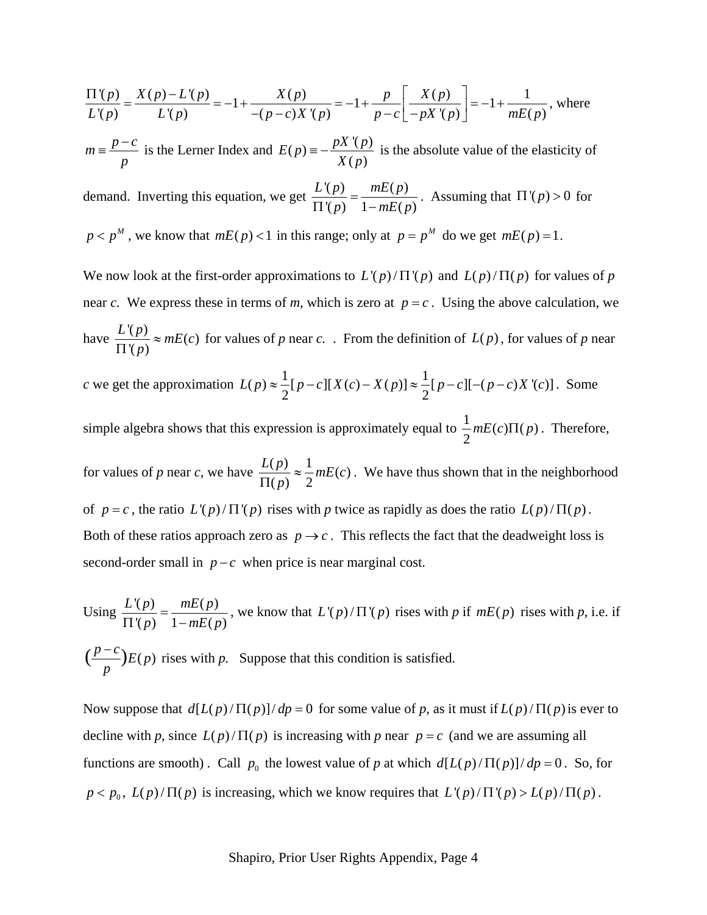$$
\frac{\Pi'(p)}{L'(p)} = \frac{X(p) - L'(p)}{L'(p)} = -1 + \frac{X(p)}{-(p - c)X'(p)} = -1 + \frac{p}{p - c} \left[ \frac{X(p)}{-pX'(p)} \right] = -1 + \frac{1}{mE(p)},
$$
 where

 $m \equiv \frac{p-c}{p}$  $=\frac{p-c}{p}$  is the Lerner Index and  $E(p) = -\frac{pX'(p)}{X(p)}$  is the absolute value of the elasticity of

demand. Inverting this equation, we get  $\frac{L'(p)}{L'(p)} = \frac{mE(p)}{L(p)}$  $(p) \quad 1 - mE(p)$  $\frac{L'(p)}{\Pi'(p)} = \frac{mE(p)}{1 - mE(p)}$ . Assuming that  $\Pi'(p) > 0$  for

 $p < p^M$ , we know that  $mE(p) < 1$  in this range; only at  $p = p^M$  do we get  $mE(p) = 1$ .

We now look at the first-order approximations to  $L'(p)/\Pi'(p)$  and  $L(p)/\Pi(p)$  for values of *p* near *c*. We express these in terms of *m*, which is zero at  $p = c$ . Using the above calculation, we have  $\frac{L'(p)}{\prod'(p)} \approx mE(c)$  for values of *p* near *c*. . From the definition of  $L(p)$ , for values of *p* near

*c* we get the approximation 
$$
L(p) \approx \frac{1}{2} [p - c][X(c) - X(p)] \approx \frac{1}{2} [p - c] [-(p - c)X'(c)].
$$
 Some

simple algebra shows that this expression is approximately equal to  $\frac{1}{2}mE(c)\Pi(p)$ . Therefore,

for values of *p* near *c*, we have  $\frac{L(p)}{\Pi(p)} \approx \frac{1}{2} mE(c)$ . We have thus shown that in the neighborhood of  $p = c$ , the ratio  $L(p)/\Pi(p)$  rises with *p* twice as rapidly as does the ratio  $L(p)/\Pi(p)$ . Both of these ratios approach zero as  $p \rightarrow c$ . This reflects the fact that the deadweight loss is second-order small in  $p - c$  when price is near marginal cost.

Using 
$$
\frac{L'(p)}{\Pi'(p)} = \frac{mE(p)}{1 - mE(p)}
$$
, we know that  $L'(p)/\Pi'(p)$  rises with *p* if  $mE(p)$  rises with *p*, i.e. if  $(\frac{p-c}{p})E(p)$  rises with *p*. Suppose that this condition is satisfied.

Now suppose that  $d[L(p)/\Pi(p)]/dp = 0$  for some value of p, as it must if  $L(p)/\Pi(p)$  is ever to decline with *p*, since  $L(p)/\Pi(p)$  is increasing with *p* near  $p = c$  (and we are assuming all functions are smooth). Call  $p_0$  the lowest value of *p* at which  $d[L(p)/\Pi(p)]/dp = 0$ . So, for  $p < p_0$ ,  $L(p)/\Pi(p)$  is increasing, which we know requires that  $L'(p)/\Pi'(p) > L(p)/\Pi(p)$ .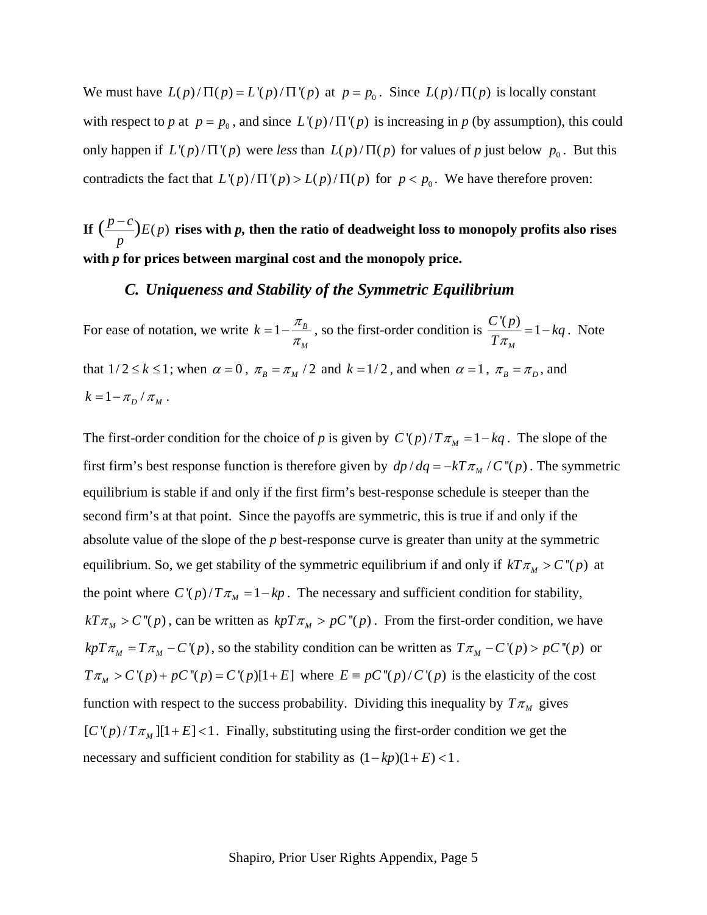We must have  $L(p) / \Pi(p) = L'(p) / \Pi'(p)$  at  $p = p_0$ . Since  $L(p) / \Pi(p)$  is locally constant with respect to *p* at  $p = p_0$ , and since  $L'(p)/\Pi'(p)$  is increasing in *p* (by assumption), this could only happen if  $L'(p) / \Pi'(p)$  were *less* than  $L(p) / \Pi(p)$  for values of *p* just below  $p_0$ . But this contradicts the fact that  $L'(p) / \Pi'(p) > L(p) / \Pi(p)$  for  $p < p_0$ . We have therefore proven:

**If**  $\left(\frac{p-c}{p}\right)E(p)$ *p*  $\bar{e}^{-c}$ ) $E(p)$  rises with  $p$ , then the ratio of deadweight loss to monopoly profits also rises **with** *p* **for prices between marginal cost and the monopoly price.** 

## *C. Uniqueness and Stability of the Symmetric Equilibrium*

For ease of notation, we write  $k = 1 - \frac{n_B}{B}$ *M*  $k = 1 - \frac{\pi_B}{\pi_M}$ , so the first-order condition is  $\frac{C'(p)}{T\pi_M} = 1 - kq$ . Note that  $1/2 \le k \le 1$ ; when  $\alpha = 0$ ,  $\pi_B = \pi_M / 2$  and  $k = 1/2$ , and when  $\alpha = 1$ ,  $\pi_B = \pi_D$ , and  $k = 1 - \pi D / \pi M$ .

The first-order condition for the choice of *p* is given by  $C'(p)/T\pi_M = 1 - kq$ . The slope of the first firm's best response function is therefore given by  $dp/dq = -kT \pi_M / C''(p)$ . The symmetric equilibrium is stable if and only if the first firm's best-response schedule is steeper than the second firm's at that point. Since the payoffs are symmetric, this is true if and only if the absolute value of the slope of the *p* best-response curve is greater than unity at the symmetric equilibrium. So, we get stability of the symmetric equilibrium if and only if  $kT\pi_M > C''(p)$  at the point where  $C'(p)/T\pi_M = 1 - kp$ . The necessary and sufficient condition for stability,  $kT\pi_M > C''(p)$ , can be written as  $kpT\pi_M > pC''(p)$ . From the first-order condition, we have  $k p T \pi_M = T \pi_M - C'(p)$ , so the stability condition can be written as  $T \pi_M - C'(p) > pC''(p)$  or  $T\pi_M > C'(p) + pC''(p) = C'(p)[1+E]$  where  $E \equiv pC''(p)/C'(p)$  is the elasticity of the cost function with respect to the success probability. Dividing this inequality by  $T\pi_M$  gives  $[C'(p)/T\pi_M][1+E]$  < 1. Finally, substituting using the first-order condition we get the necessary and sufficient condition for stability as  $(1 - kp)(1 + E) < 1$ .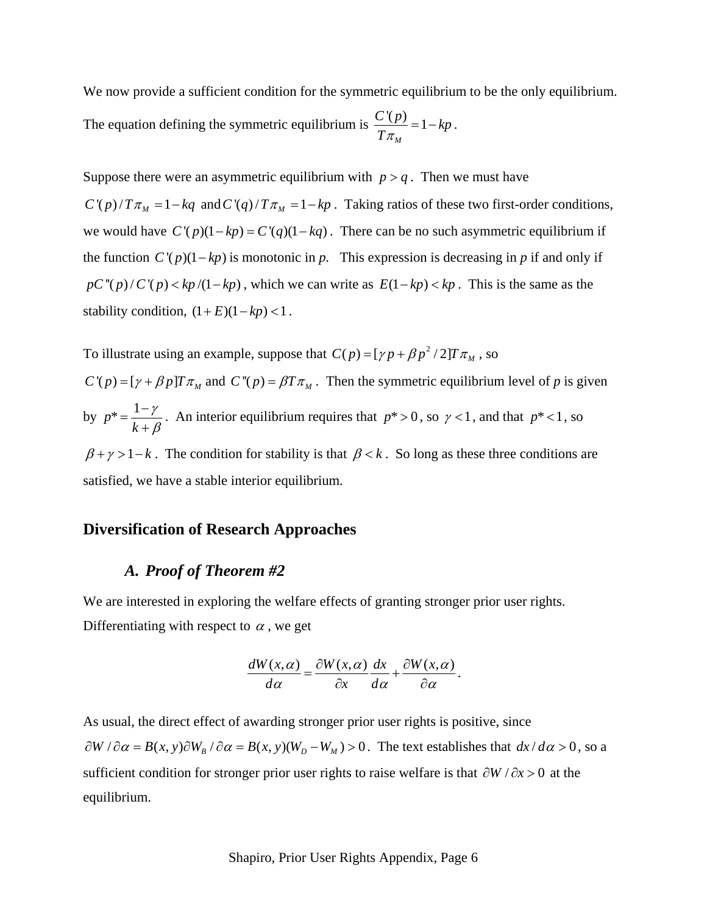We now provide a sufficient condition for the symmetric equilibrium to be the only equilibrium. The equation defining the symmetric equilibrium is  $\frac{C'(p)}{T} = 1$  $\frac{C'(p)}{T\pi_M} = 1 - kp$ .

Suppose there were an asymmetric equilibrium with  $p > q$ . Then we must have

 $C'(p)/T\pi_M = 1 - kq$  and  $C'(q)/T\pi_M = 1 - kp$ . Taking ratios of these two first-order conditions, we would have  $C'(p)(1 - kp) = C'(q)(1 - kq)$ . There can be no such asymmetric equilibrium if the function  $C'(p)(1 - kp)$  is monotonic in *p*. This expression is decreasing in *p* if and only if  $pC''(p)/C'(p) < kp/(1-kp)$ , which we can write as  $E(1-kp) < kp$ . This is the same as the stability condition,  $(1 + E)(1 - kp) < 1$ .

To illustrate using an example, suppose that  $C(p) = [\gamma p + \beta p^2 / 2]T\pi_M$ , so  $C'(p) = [\gamma + \beta p]T\pi_M$  and  $C''(p) = \beta T\pi_M$ . Then the symmetric equilibrium level of *p* is given by  $p^* = \frac{1}{1}$ *k* γ  $=\frac{1-\gamma}{k+\beta}$ . An interior equilibrium requires that  $p^* > 0$ , so  $\gamma < 1$ , and that  $p^* < 1$ , so  $\beta + \gamma > 1 - k$ . The condition for stability is that  $\beta < k$ . So long as these three conditions are satisfied, we have a stable interior equilibrium.

# **Diversification of Research Approaches**

# *A. Proof of Theorem #2*

We are interested in exploring the welfare effects of granting stronger prior user rights. Differentiating with respect to  $\alpha$ , we get

$$
\frac{dW(x,\alpha)}{d\alpha} = \frac{\partial W(x,\alpha)}{\partial x}\frac{dx}{d\alpha} + \frac{\partial W(x,\alpha)}{\partial \alpha}.
$$

As usual, the direct effect of awarding stronger prior user rights is positive, since  $\partial W / \partial \alpha = B(x, y) \partial W_B / \partial \alpha = B(x, y) (W_D - W_M) > 0$ . The text establishes that  $dx / d\alpha > 0$ , so a sufficient condition for stronger prior user rights to raise welfare is that  $\partial W / \partial x > 0$  at the equilibrium.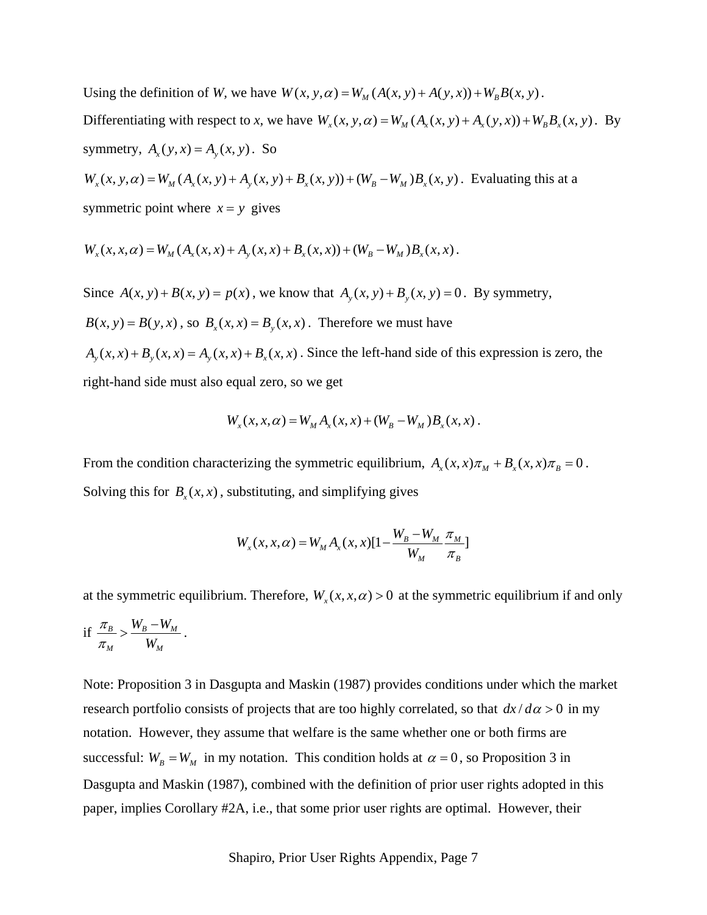Using the definition of *W*, we have  $W(x, y, \alpha) = W_M(A(x, y) + A(y, x)) + W_B B(x, y)$ . Differentiating with respect to *x*, we have  $W_x(x, y, \alpha) = W_M(A_x(x, y) + A_x(y, x)) + W_B B_x(x, y)$ . By symmetry,  $A_x(y, x) = A_y(x, y)$ . So  $W_x(x, y, \alpha) = W_M(A_x(x, y) + A_y(x, y) + B_x(x, y)) + (W_B - W_M)B_x(x, y)$ . Evaluating this at a symmetric point where  $x = y$  gives

$$
W_x(x, x, \alpha) = W_M(A_x(x, x) + A_y(x, x) + B_x(x, x)) + (W_B - W_M)B_x(x, x).
$$

Since  $A(x, y) + B(x, y) = p(x)$ , we know that  $A_y(x, y) + B_y(x, y) = 0$ . By symmetry,  $B(x, y) = B(y, x)$ , so  $B<sub>x</sub>(x, x) = B<sub>y</sub>(x, x)$ . Therefore we must have  $A_y(x, x) + B_y(x, x) = A_y(x, x) + B_x(x, x)$ . Since the left-hand side of this expression is zero, the right-hand side must also equal zero, so we get

$$
W_x(x, x, \alpha) = W_M A_x(x, x) + (W_B - W_M) B_x(x, x).
$$

From the condition characterizing the symmetric equilibrium,  $A_x(x, x)\pi_M + B_x(x, x)\pi_B = 0$ . Solving this for  $B_r(x, x)$ , substituting, and simplifying gives

$$
W_{x}(x, x, \alpha) = W_{M} A_{x}(x, x)[1 - \frac{W_{B} - W_{M}}{W_{M}} \frac{\pi_{M}}{\pi_{B}}]
$$

at the symmetric equilibrium. Therefore,  $W_x(x, x, \alpha) > 0$  at the symmetric equilibrium if and only

$$
\text{if }\frac{\pi_{\scriptscriptstyle B}}{\pi_{\scriptscriptstyle M}} > \frac{W_{\scriptscriptstyle B}-W_{\scriptscriptstyle M}}{W_{\scriptscriptstyle M}}\,.
$$

Note: Proposition 3 in Dasgupta and Maskin (1987) provides conditions under which the market research portfolio consists of projects that are too highly correlated, so that  $dx/d\alpha > 0$  in my notation. However, they assume that welfare is the same whether one or both firms are successful:  $W_B = W_M$  in my notation. This condition holds at  $\alpha = 0$ , so Proposition 3 in Dasgupta and Maskin (1987), combined with the definition of prior user rights adopted in this paper, implies Corollary #2A, i.e., that some prior user rights are optimal. However, their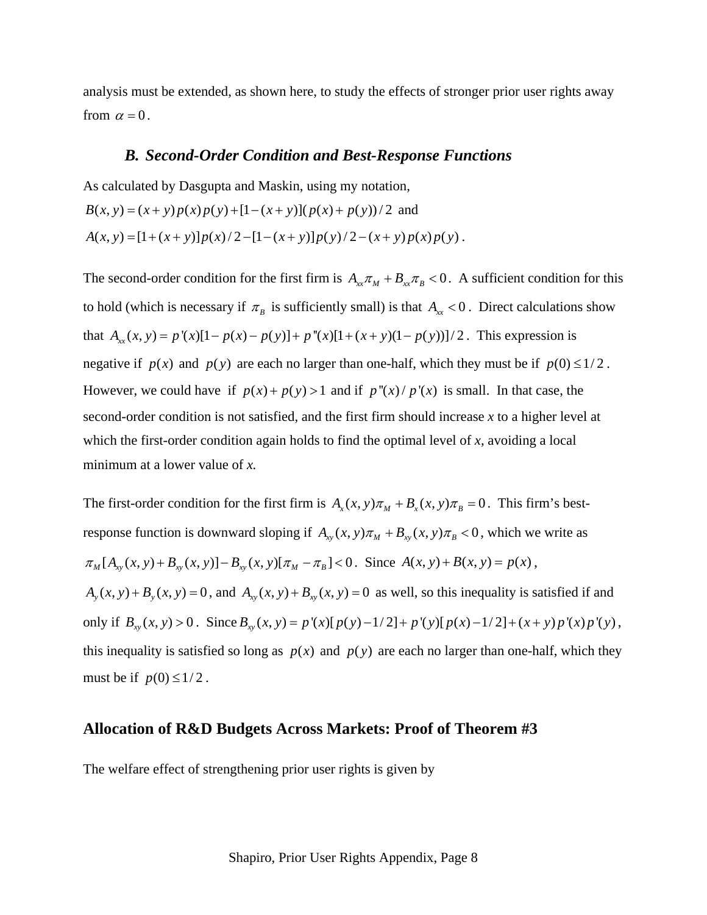analysis must be extended, as shown here, to study the effects of stronger prior user rights away from  $\alpha = 0$ .

## *B. Second-Order Condition and Best-Response Functions*

As calculated by Dasgupta and Maskin, using my notation,

$$
B(x, y) = (x + y)p(x)p(y) + [1 - (x + y)](p(x) + p(y))/2
$$
 and

 $A(x, y) = [1 + (x + y)] p(x) / 2 - [1 - (x + y)] p(y) / 2 - (x + y) p(x) p(y)$ .

The second-order condition for the first firm is  $A_{xx}\pi_M + B_{xx}\pi_B < 0$ . A sufficient condition for this to hold (which is necessary if  $\pi_B$  is sufficiently small) is that  $A_{xx} < 0$ . Direct calculations show that  $A_{xx}(x, y) = p'(x)[1 - p(x) - p(y)] + p''(x)[1 + (x + y)(1 - p(y))]$ /2. This expression is negative if  $p(x)$  and  $p(y)$  are each no larger than one-half, which they must be if  $p(0) \leq 1/2$ . However, we could have if  $p(x) + p(y) > 1$  and if  $p''(x) / p'(x)$  is small. In that case, the second-order condition is not satisfied, and the first firm should increase *x* to a higher level at which the first-order condition again holds to find the optimal level of *x*, avoiding a local minimum at a lower value of *x.* 

The first-order condition for the first firm is  $A_x(x, y) \pi_M + B_x(x, y) \pi_B = 0$ . This firm's bestresponse function is downward sloping if  $A_{xy}(x, y) \pi M + B_{xy}(x, y) \pi B \leq 0$ , which we write as  $\pi_M[A_{xy}(x, y) + B_{xy}(x, y)] - B_{xy}(x, y)[\pi_M - \pi_B] < 0$ . Since  $A(x, y) + B(x, y) = p(x)$ ,  $A_y(x, y) + B_y(x, y) = 0$ , and  $A_{xy}(x, y) + B_{xy}(x, y) = 0$  as well, so this inequality is satisfied if and only if  $B_{xy}(x, y) > 0$ . Since  $B_{xy}(x, y) = p'(x)[p(y) - 1/2] + p'(y)[p(x) - 1/2] + (x + y)p'(x)p'(y)$ , this inequality is satisfied so long as  $p(x)$  and  $p(y)$  are each no larger than one-half, which they must be if  $p(0) \leq 1/2$ .

## **Allocation of R&D Budgets Across Markets: Proof of Theorem #3**

The welfare effect of strengthening prior user rights is given by